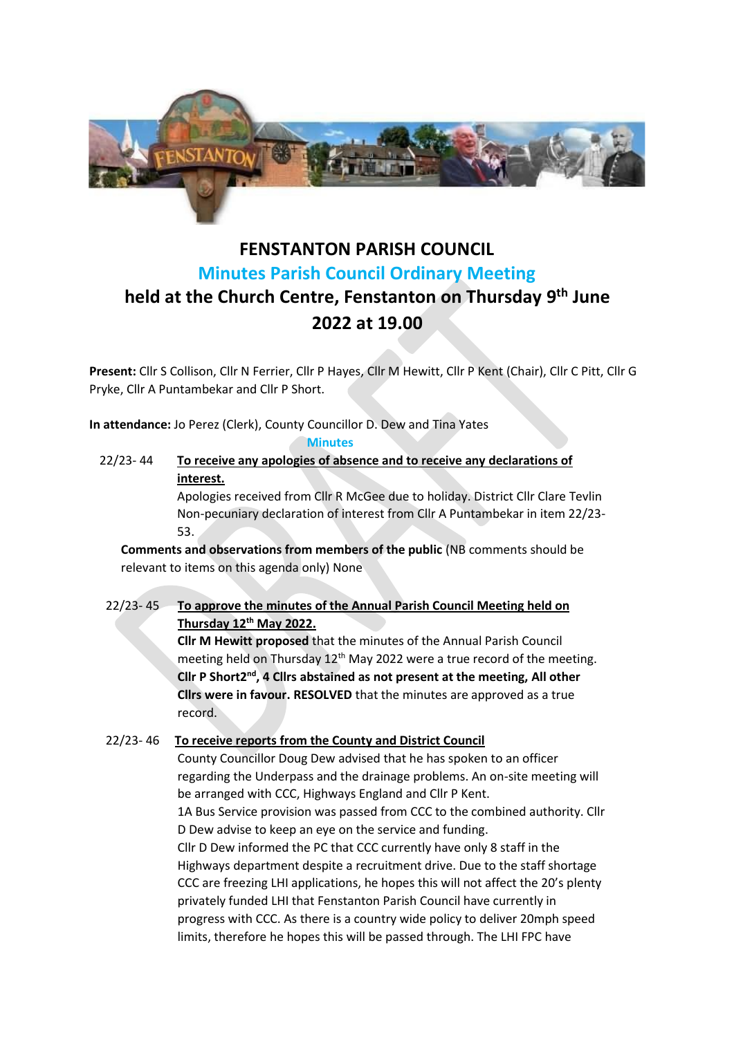

# **FENSTANTON PARISH COUNCIL Minutes Parish Council Ordinary Meeting held at the Church Centre, Fenstanton on Thursday 9 th June 2022 at 19.00**

**Present:** Cllr S Collison, Cllr N Ferrier, Cllr P Hayes, Cllr M Hewitt, Cllr P Kent (Chair), Cllr C Pitt, Cllr G Pryke, Cllr A Puntambekar and Cllr P Short.

**In attendance:** Jo Perez (Clerk), County Councillor D. Dew and Tina Yates

**Minutes**

22/23- 44 **To receive any apologies of absence and to receive any declarations of interest.**

Apologies received from Cllr R McGee due to holiday. District Cllr Clare Tevlin Non-pecuniary declaration of interest from Cllr A Puntambekar in item 22/23- 53.

**Comments and observations from members of the public** (NB comments should be relevant to items on this agenda only) None

22/23- 45 **To approve the minutes of the Annual Parish Council Meeting held on Thursday 12th May 2022.** 

> **Cllr M Hewitt proposed** that the minutes of the Annual Parish Council meeting held on Thursday 12<sup>th</sup> May 2022 were a true record of the meeting. Cllr P Short2<sup>nd</sup>, 4 Cllrs abstained as not present at the meeting, All other **Cllrs were in favour. RESOLVED** that the minutes are approved as a true record.

## 22/23- 46 **To receive reports from the County and District Council**

County Councillor Doug Dew advised that he has spoken to an officer regarding the Underpass and the drainage problems. An on-site meeting will be arranged with CCC, Highways England and Cllr P Kent. 1A Bus Service provision was passed from CCC to the combined authority. Cllr D Dew advise to keep an eye on the service and funding. Cllr D Dew informed the PC that CCC currently have only 8 staff in the Highways department despite a recruitment drive. Due to the staff shortage CCC are freezing LHI applications, he hopes this will not affect the 20's plenty privately funded LHI that Fenstanton Parish Council have currently in progress with CCC. As there is a country wide policy to deliver 20mph speed limits, therefore he hopes this will be passed through. The LHI FPC have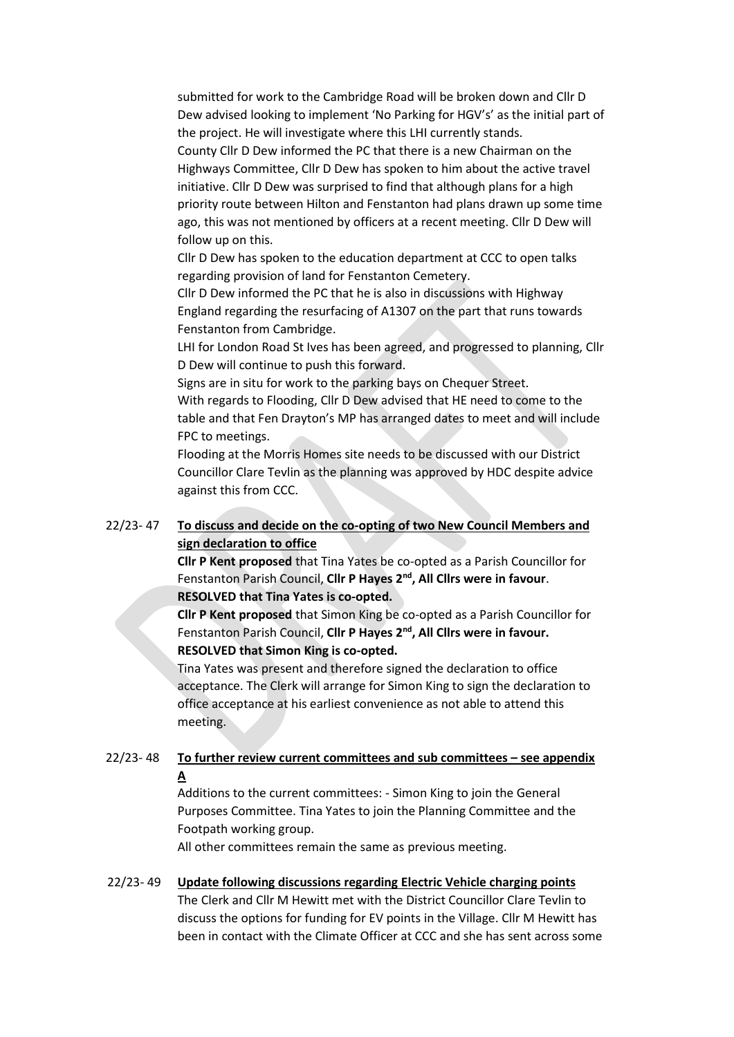submitted for work to the Cambridge Road will be broken down and Cllr D Dew advised looking to implement 'No Parking for HGV's' as the initial part of the project. He will investigate where this LHI currently stands. County Cllr D Dew informed the PC that there is a new Chairman on the Highways Committee, Cllr D Dew has spoken to him about the active travel initiative. Cllr D Dew was surprised to find that although plans for a high priority route between Hilton and Fenstanton had plans drawn up some time ago, this was not mentioned by officers at a recent meeting. Cllr D Dew will follow up on this.

Cllr D Dew has spoken to the education department at CCC to open talks regarding provision of land for Fenstanton Cemetery.

Cllr D Dew informed the PC that he is also in discussions with Highway England regarding the resurfacing of A1307 on the part that runs towards Fenstanton from Cambridge.

LHI for London Road St Ives has been agreed, and progressed to planning, Cllr D Dew will continue to push this forward.

Signs are in situ for work to the parking bays on Chequer Street.

With regards to Flooding, Cllr D Dew advised that HE need to come to the table and that Fen Drayton's MP has arranged dates to meet and will include FPC to meetings.

Flooding at the Morris Homes site needs to be discussed with our District Councillor Clare Tevlin as the planning was approved by HDC despite advice against this from CCC.

## 22/23- 47 **To discuss and decide on the co-opting of two New Council Members and sign declaration to office**

**Cllr P Kent proposed** that Tina Yates be co-opted as a Parish Councillor for Fenstanton Parish Council, **Cllr P Hayes 2nd, All Cllrs were in favour**. **RESOLVED that Tina Yates is co-opted.**

**Cllr P Kent proposed** that Simon King be co-opted as a Parish Councillor for Fenstanton Parish Council, **Cllr P Hayes 2nd, All Cllrs were in favour. RESOLVED that Simon King is co-opted.**

Tina Yates was present and therefore signed the declaration to office acceptance. The Clerk will arrange for Simon King to sign the declaration to office acceptance at his earliest convenience as not able to attend this meeting.

#### 22/23- 48 **To further review current committees and sub committees – see appendix A**

Additions to the current committees: - Simon King to join the General Purposes Committee. Tina Yates to join the Planning Committee and the Footpath working group.

All other committees remain the same as previous meeting.

#### 22/23- 49 **Update following discussions regarding Electric Vehicle charging points**

The Clerk and Cllr M Hewitt met with the District Councillor Clare Tevlin to discuss the options for funding for EV points in the Village. Cllr M Hewitt has been in contact with the Climate Officer at CCC and she has sent across some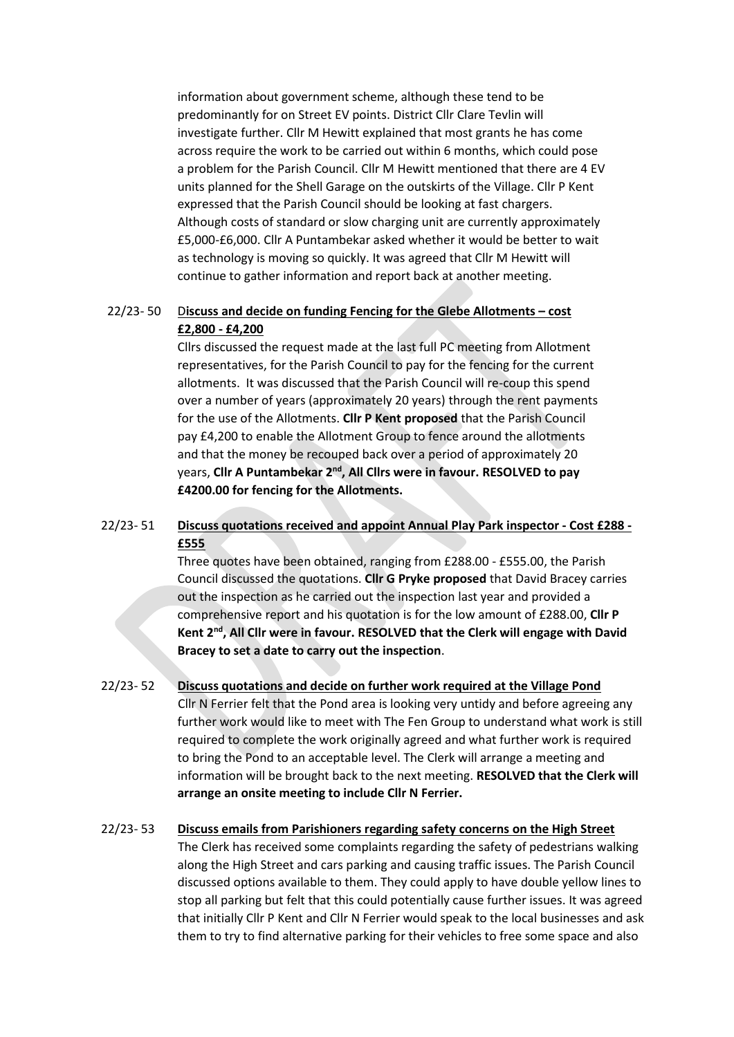information about government scheme, although these tend to be predominantly for on Street EV points. District Cllr Clare Tevlin will investigate further. Cllr M Hewitt explained that most grants he has come across require the work to be carried out within 6 months, which could pose a problem for the Parish Council. Cllr M Hewitt mentioned that there are 4 EV units planned for the Shell Garage on the outskirts of the Village. Cllr P Kent expressed that the Parish Council should be looking at fast chargers. Although costs of standard or slow charging unit are currently approximately £5,000-£6,000. Cllr A Puntambekar asked whether it would be better to wait as technology is moving so quickly. It was agreed that Cllr M Hewitt will continue to gather information and report back at another meeting.

#### 22/23- 50 D**iscuss and decide on funding Fencing for the Glebe Allotments – cost £2,800 - £4,200**

Cllrs discussed the request made at the last full PC meeting from Allotment representatives, for the Parish Council to pay for the fencing for the current allotments. It was discussed that the Parish Council will re-coup this spend over a number of years (approximately 20 years) through the rent payments for the use of the Allotments. **Cllr P Kent proposed** that the Parish Council pay £4,200 to enable the Allotment Group to fence around the allotments and that the money be recouped back over a period of approximately 20 years, **Cllr A Puntambekar 2nd, All Cllrs were in favour. RESOLVED to pay £4200.00 for fencing for the Allotments.**

#### 22/23- 51 **Discuss quotations received and appoint Annual Play Park inspector - Cost £288 - £555**

Three quotes have been obtained, ranging from £288.00 - £555.00, the Parish Council discussed the quotations. **Cllr G Pryke proposed** that David Bracey carries out the inspection as he carried out the inspection last year and provided a comprehensive report and his quotation is for the low amount of £288.00, **Cllr P Kent 2nd, All Cllr were in favour. RESOLVED that the Clerk will engage with David Bracey to set a date to carry out the inspection**.

## 22/23- 52 **Discuss quotations and decide on further work required at the Village Pond** Cllr N Ferrier felt that the Pond area is looking very untidy and before agreeing any further work would like to meet with The Fen Group to understand what work is still required to complete the work originally agreed and what further work is required to bring the Pond to an acceptable level. The Clerk will arrange a meeting and information will be brought back to the next meeting. **RESOLVED that the Clerk will arrange an onsite meeting to include Cllr N Ferrier.**

## 22/23- 53 **Discuss emails from Parishioners regarding safety concerns on the High Street** The Clerk has received some complaints regarding the safety of pedestrians walking along the High Street and cars parking and causing traffic issues. The Parish Council discussed options available to them. They could apply to have double yellow lines to

stop all parking but felt that this could potentially cause further issues. It was agreed that initially Cllr P Kent and Cllr N Ferrier would speak to the local businesses and ask them to try to find alternative parking for their vehicles to free some space and also